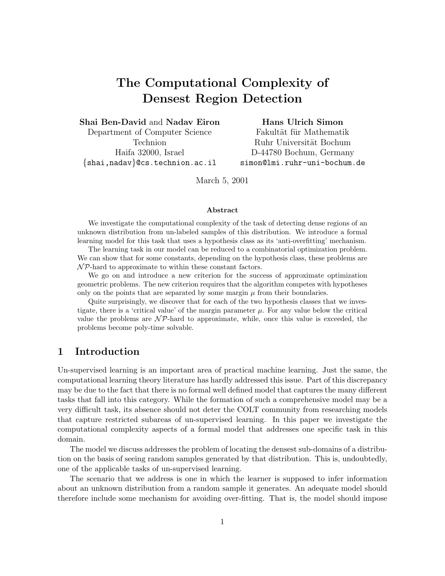# The Computational Complexity of Densest Region Detection

Shai Ben-David and Nadav Eiron

Department of Computer Science Technion Haifa 32000, Israel {shai,nadav}@cs.technion.ac.il Hans Ulrich Simon

Fakultät für Mathematik Ruhr Universität Bochum D-44780 Bochum, Germany simon@lmi.ruhr-uni-bochum.de

March 5, 2001

#### Abstract

We investigate the computational complexity of the task of detecting dense regions of an unknown distribution from un-labeled samples of this distribution. We introduce a formal learning model for this task that uses a hypothesis class as its 'anti-overfitting' mechanism.

The learning task in our model can be reduced to a combinatorial optimization problem. We can show that for some constants, depending on the hypothesis class, these problems are  $\mathcal{NP}$ -hard to approximate to within these constant factors.

We go on and introduce a new criterion for the success of approximate optimization geometric problems. The new criterion requires that the algorithm competes with hypotheses only on the points that are separated by some margin  $\mu$  from their boundaries.

Quite surprisingly, we discover that for each of the two hypothesis classes that we investigate, there is a 'critical value' of the margin parameter  $\mu$ . For any value below the critical value the problems are  $\mathcal{NP}$ -hard to approximate, while, once this value is exceeded, the problems become poly-time solvable.

# 1 Introduction

Un-supervised learning is an important area of practical machine learning. Just the same, the computational learning theory literature has hardly addressed this issue. Part of this discrepancy may be due to the fact that there is no formal well defined model that captures the many different tasks that fall into this category. While the formation of such a comprehensive model may be a very difficult task, its absence should not deter the COLT community from researching models that capture restricted subareas of un-supervised learning. In this paper we investigate the computational complexity aspects of a formal model that addresses one specific task in this domain.

The model we discuss addresses the problem of locating the densest sub-domains of a distribution on the basis of seeing random samples generated by that distribution. This is, undoubtedly, one of the applicable tasks of un-supervised learning.

The scenario that we address is one in which the learner is supposed to infer information about an unknown distribution from a random sample it generates. An adequate model should therefore include some mechanism for avoiding over-fitting. That is, the model should impose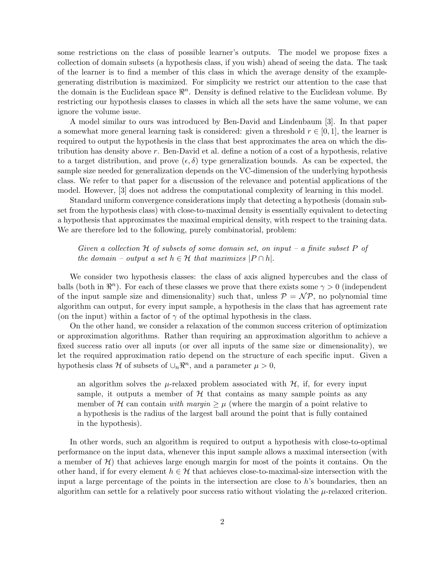some restrictions on the class of possible learner's outputs. The model we propose fixes a collection of domain subsets (a hypothesis class, if you wish) ahead of seeing the data. The task of the learner is to find a member of this class in which the average density of the examplegenerating distribution is maximized. For simplicity we restrict our attention to the case that the domain is the Euclidean space  $\mathbb{R}^n$ . Density is defined relative to the Euclidean volume. By restricting our hypothesis classes to classes in which all the sets have the same volume, we can ignore the volume issue.

A model similar to ours was introduced by Ben-David and Lindenbaum [3]. In that paper a somewhat more general learning task is considered: given a threshold  $r \in [0, 1]$ , the learner is required to output the hypothesis in the class that best approximates the area on which the distribution has density above r. Ben-David et al. define a notion of a cost of a hypothesis, relative to a target distribution, and prove  $(\epsilon, \delta)$  type generalization bounds. As can be expected, the sample size needed for generalization depends on the VC-dimension of the underlying hypothesis class. We refer to that paper for a discussion of the relevance and potential applications of the model. However, [3] does not address the computational complexity of learning in this model.

Standard uniform convergence considerations imply that detecting a hypothesis (domain subset from the hypothesis class) with close-to-maximal density is essentially equivalent to detecting a hypothesis that approximates the maximal empirical density, with respect to the training data. We are therefore led to the following, purely combinatorial, problem:

### Given a collection  $H$  of subsets of some domain set, on input – a finite subset P of the domain – output a set  $h \in \mathcal{H}$  that maximizes  $|P \cap h|$ .

We consider two hypothesis classes: the class of axis aligned hypercubes and the class of balls (both in  $\mathbb{R}^n$ ). For each of these classes we prove that there exists some  $\gamma > 0$  (independent of the input sample size and dimensionality) such that, unless  $P = \mathcal{NP}$ , no polynomial time algorithm can output, for every input sample, a hypothesis in the class that has agreement rate (on the input) within a factor of  $\gamma$  of the optimal hypothesis in the class.

On the other hand, we consider a relaxation of the common success criterion of optimization or approximation algorithms. Rather than requiring an approximation algorithm to achieve a fixed success ratio over all inputs (or over all inputs of the same size or dimensionality), we let the required approximation ratio depend on the structure of each specific input. Given a hypothesis class H of subsets of  $\bigcup_n \mathbb{R}^n$ , and a parameter  $\mu > 0$ ,

an algorithm solves the  $\mu$ -relaxed problem associated with  $\mathcal{H}$ , if, for every input sample, it outputs a member of  $H$  that contains as many sample points as any member of H can contain with margin  $\geq \mu$  (where the margin of a point relative to a hypothesis is the radius of the largest ball around the point that is fully contained in the hypothesis).

In other words, such an algorithm is required to output a hypothesis with close-to-optimal performance on the input data, whenever this input sample allows a maximal intersection (with a member of  $\mathcal{H}$ ) that achieves large enough margin for most of the points it contains. On the other hand, if for every element  $h \in \mathcal{H}$  that achieves close-to-maximal-size intersection with the input a large percentage of the points in the intersection are close to  $h$ 's boundaries, then an algorithm can settle for a relatively poor success ratio without violating the  $\mu$ -relaxed criterion.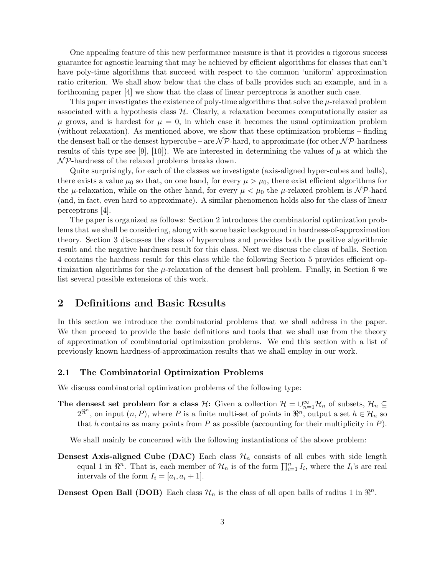One appealing feature of this new performance measure is that it provides a rigorous success guarantee for agnostic learning that may be achieved by efficient algorithms for classes that can't have poly-time algorithms that succeed with respect to the common 'uniform' approximation ratio criterion. We shall show below that the class of balls provides such an example, and in a forthcoming paper [4] we show that the class of linear perceptrons is another such case.

This paper investigates the existence of poly-time algorithms that solve the  $\mu$ -relaxed problem associated with a hypothesis class  $H$ . Clearly, a relaxation becomes computationally easier as  $\mu$  grows, and is hardest for  $\mu = 0$ , in which case it becomes the usual optimization problem (without relaxation). As mentioned above, we show that these optimization problems – finding the densest ball or the densest hypercube – are  $N\mathcal{P}$ -hard, to approximate (for other  $N\mathcal{P}$ -hardness results of this type see [9], [10]). We are interested in determining the values of  $\mu$  at which the  $\mathcal{NP}$ -hardness of the relaxed problems breaks down.

Quite surprisingly, for each of the classes we investigate (axis-aligned hyper-cubes and balls), there exists a value  $\mu_0$  so that, on one hand, for every  $\mu > \mu_0$ , there exist efficient algorithms for the  $\mu$ -relaxation, while on the other hand, for every  $\mu < \mu_0$  the  $\mu$ -relaxed problem is NP-hard (and, in fact, even hard to approximate). A similar phenomenon holds also for the class of linear perceptrons [4].

The paper is organized as follows: Section 2 introduces the combinatorial optimization problems that we shall be considering, along with some basic background in hardness-of-approximation theory. Section 3 discusses the class of hypercubes and provides both the positive algorithmic result and the negative hardness result for this class. Next we discuss the class of balls. Section 4 contains the hardness result for this class while the following Section 5 provides efficient optimization algorithms for the  $\mu$ -relaxation of the densest ball problem. Finally, in Section 6 we list several possible extensions of this work.

# 2 Definitions and Basic Results

In this section we introduce the combinatorial problems that we shall address in the paper. We then proceed to provide the basic definitions and tools that we shall use from the theory of approximation of combinatorial optimization problems. We end this section with a list of previously known hardness-of-approximation results that we shall employ in our work.

### 2.1 The Combinatorial Optimization Problems

We discuss combinatorial optimization problems of the following type:

The densest set problem for a class  $H$ : Given a collection  $\mathcal{H} = \bigcup_{n=1}^{\infty} \mathcal{H}_n$  of subsets,  $\mathcal{H}_n \subseteq$  $2^{\Re^n}$ , on input  $(n, P)$ , where P is a finite multi-set of points in  $\Re^n$ , output a set  $h \in \mathcal{H}_n$  so that h contains as many points from  $P$  as possible (accounting for their multiplicity in  $P$ ).

We shall mainly be concerned with the following instantiations of the above problem:

**Densest Axis-aligned Cube (DAC)** Each class  $\mathcal{H}_n$  consists of all cubes with side length equal 1 in  $\mathbb{R}^n$ . That is, each member of  $\mathcal{H}_n$  is of the form  $\prod_{i=1}^n I_i$ , where the  $I_i$ 's are real intervals of the form  $I_i = [a_i, a_i + 1].$ 

**Densest Open Ball (DOB)** Each class  $\mathcal{H}_n$  is the class of all open balls of radius 1 in  $\mathbb{R}^n$ .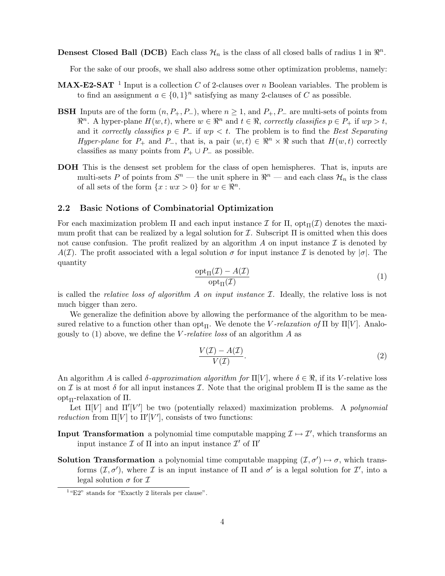**Densest Closed Ball (DCB)** Each class  $\mathcal{H}_n$  is the class of all closed balls of radius 1 in  $\mathbb{R}^n$ .

For the sake of our proofs, we shall also address some other optimization problems, namely:

- **MAX-E2-SAT** <sup>1</sup> Input is a collection C of 2-clauses over n Boolean variables. The problem is to find an assignment  $a \in \{0,1\}^n$  satisfying as many 2-clauses of C as possible.
- **BSH** Inputs are of the form  $(n, P_+, P_-)$ , where  $n \geq 1$ , and  $P_+, P_-$  are multi-sets of points from  $\mathbb{R}^n$ . A hyper-plane  $H(w, t)$ , where  $w \in \mathbb{R}^n$  and  $t \in \mathbb{R}$ , correctly classifies  $p \in P_+$  if  $wp > t$ , and it correctly classifies  $p \in P_-\$  if  $wp < t$ . The problem is to find the Best Separating Hyper-plane for  $P_+$  and  $P_-,$  that is, a pair  $(w, t) \in \mathbb{R}^n \times \mathbb{R}$  such that  $H(w, t)$  correctly classifies as many points from  $P_+ \cup P_-$  as possible.
- DOH This is the densest set problem for the class of open hemispheres. That is, inputs are multi-sets P of points from  $S^n$  — the unit sphere in  $\mathbb{R}^n$  — and each class  $\mathcal{H}_n$  is the class of all sets of the form  $\{x : wx > 0\}$  for  $w \in \mathbb{R}^n$ .

### 2.2 Basic Notions of Combinatorial Optimization

For each maximization problem Π and each input instance  $\mathcal I$  for  $\Pi$ ,  $\mathrm{opt}_{\Pi}(\mathcal I)$  denotes the maximum profit that can be realized by a legal solution for  $\mathcal I$ . Subscript  $\Pi$  is omitted when this does not cause confusion. The profit realized by an algorithm A on input instance  $\mathcal I$  is denoted by  $A(\mathcal{I})$ . The profit associated with a legal solution  $\sigma$  for input instance  $\mathcal{I}$  is denoted by  $|\sigma|$ . The quantity

$$
\frac{\operatorname{opt}_{\Pi}(\mathcal{I}) - A(\mathcal{I})}{\operatorname{opt}_{\Pi}(\mathcal{I})}
$$
 (1)

is called the *relative loss of algorithm A on input instance*  $\mathcal I$ . Ideally, the relative loss is not much bigger than zero.

We generalize the definition above by allowing the performance of the algorithm to be measured relative to a function other than opt<sub>Π</sub>. We denote the *V*-relaxation of  $\Pi$  by  $\Pi[V]$ . Analogously to  $(1)$  above, we define the *V*-relative loss of an algorithm A as

$$
\frac{V(\mathcal{I}) - A(\mathcal{I})}{V(\mathcal{I})}.
$$
\n(2)

An algorithm A is called  $\delta$ -approximation algorithm for  $\Pi[V]$ , where  $\delta \in \Re$ , if its V-relative loss on I is at most  $\delta$  for all input instances I. Note that the original problem  $\Pi$  is the same as the opt<sub>Π</sub>-relaxation of Π.

Let  $\Pi[V]$  and  $\Pi'[V']$  be two (potentially relaxed) maximization problems. A polynomial *reduction* from  $\Pi[V]$  to  $\Pi'[V']$ , consists of two functions:

- **Input Transformation** a polynomial time computable mapping  $\mathcal{I} \mapsto \mathcal{I}'$ , which transforms an input instance  $\mathcal I$  of  $\Pi$  into an input instance  $\mathcal I'$  of  $\Pi'$
- **Solution Transformation** a polynomial time computable mapping  $(\mathcal{I}, \sigma') \mapsto \sigma$ , which transforms  $(\mathcal{I}, \sigma')$ , where  $\mathcal I$  is an input instance of  $\Pi$  and  $\sigma'$  is a legal solution for  $\mathcal I'$ , into a legal solution  $\sigma$  for  $\mathcal I$

<sup>&</sup>lt;sup>1</sup> "E2" stands for "Exactly 2 literals per clause".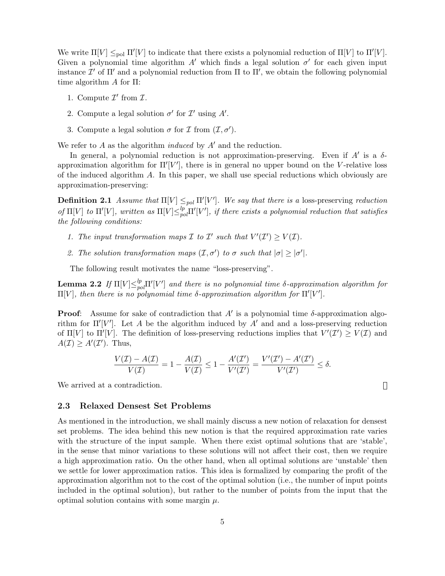We write  $\Pi[V] \leq_{\text{pol}} \Pi'[V]$  to indicate that there exists a polynomial reduction of  $\Pi[V]$  to  $\Pi'[V]$ . Given a polynomial time algorithm A' which finds a legal solution  $\sigma'$  for each given input instance  $\mathcal{I}'$  of  $\Pi'$  and a polynomial reduction from  $\Pi$  to  $\Pi'$ , we obtain the following polynomial time algorithm A for Π:

- 1. Compute  $\mathcal{I}'$  from  $\mathcal{I}$ .
- 2. Compute a legal solution  $\sigma'$  for  $\mathcal{I}'$  using  $A'$ .
- 3. Compute a legal solution  $\sigma$  for  $\mathcal I$  from  $(\mathcal I, \sigma')$ .

We refer to A as the algorithm *induced* by  $A'$  and the reduction.

In general, a polynomial reduction is not approximation-preserving. Even if  $A'$  is a  $\delta$ approximation algorithm for  $\Pi'$ [V'], there is in general no upper bound on the V-relative loss of the induced algorithm A. In this paper, we shall use special reductions which obviously are approximation-preserving:

**Definition 2.1** Assume that  $\Pi[V] \leq_{pol} \Pi'[V']$ . We say that there is a loss-preserving reduction of  $\Pi[V]$  to  $\Pi'[V]$ , written as  $\Pi[V] \leq_{pol}^{\ell} \Pi'[V']$ , if there exists a polynomial reduction that satisfies the following conditions:

- 1. The input transformation maps  $\mathcal I$  to  $\mathcal I'$  such that  $V'(\mathcal I') \geq V(\mathcal I)$ .
- 2. The solution transformation maps  $(\mathcal{I}, \sigma')$  to  $\sigma$  such that  $|\sigma| \geq |\sigma'|$ .

The following result motivates the name "loss-preserving".

**Lemma 2.2** If  $\Pi[V] \leq_{pol}^{lp} \Pi'[V']$  and there is no polynomial time δ-approximation algorithm for  $\Pi[V]$ , then there is no polynomial time δ-approximation algorithm for  $\Pi'[V']$ .

**Proof:** Assume for sake of contradiction that  $A'$  is a polynomial time  $\delta$ -approximation algorithm for  $\Pi'|V'|$ . Let A be the algorithm induced by A' and and a loss-preserving reduction of  $\Pi[V]$  to  $\Pi'[V]$ . The definition of loss-preserving reductions implies that  $V'(\mathcal{I}') \geq V(\mathcal{I})$  and  $A(\mathcal{I}) \geq A'(\mathcal{I}')$ . Thus,

$$
\frac{V(\mathcal{I}) - A(\mathcal{I})}{V(\mathcal{I})} = 1 - \frac{A(\mathcal{I})}{V(\mathcal{I})} \le 1 - \frac{A'(\mathcal{I}')}{V'(\mathcal{I}')} = \frac{V'(\mathcal{I}') - A'(\mathcal{I}')}{V'(\mathcal{I}')} \le \delta.
$$

We arrived at a contradiction.

### 2.3 Relaxed Densest Set Problems

As mentioned in the introduction, we shall mainly discuss a new notion of relaxation for densest set problems. The idea behind this new notion is that the required approximation rate varies with the structure of the input sample. When there exist optimal solutions that are 'stable', in the sense that minor variations to these solutions will not affect their cost, then we require a high approximation ratio. On the other hand, when all optimal solutions are 'unstable' then we settle for lower approximation ratios. This idea is formalized by comparing the profit of the approximation algorithm not to the cost of the optimal solution (i.e., the number of input points included in the optimal solution), but rather to the number of points from the input that the optimal solution contains with some margin  $\mu$ .

 $\Box$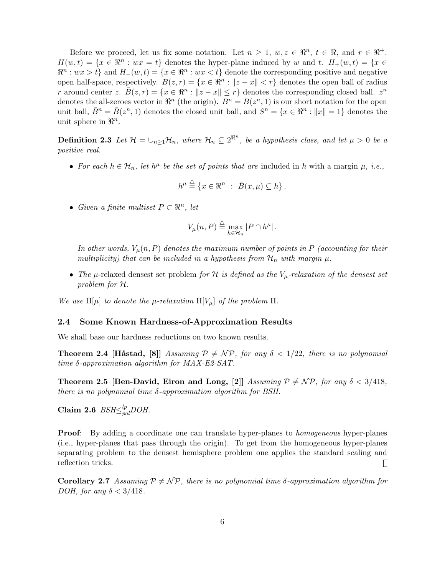Before we proceed, let us fix some notation. Let  $n \geq 1$ ,  $w, z \in \mathbb{R}^n$ ,  $t \in \mathbb{R}$ , and  $r \in \mathbb{R}^+$ .  $H(w, t) = \{x \in \mathbb{R}^n : wx = t\}$  denotes the hyper-plane induced by w and t.  $H_+(w, t) = \{x \in \mathbb{R}^n : w \in \mathbb{R}^n\}$  $\mathbb{R}^n : wx > t$  and  $H_-(w, t) = \{x \in \mathbb{R}^n : wx < t\}$  denote the corresponding positive and negative open half-space, respectively.  $B(z,r) = \{x \in \Re^n : ||z - x|| < r\}$  denotes the open ball of radius r around center z.  $\bar{B}(z,r) = \{x \in \mathbb{R}^n : ||z - x|| \leq r\}$  denotes the corresponding closed ball.  $z^n$ denotes the all-zeroes vector in  $\mathbb{R}^n$  (the origin).  $B^n = B(z^n, 1)$  is our short notation for the open unit ball,  $\bar{B}^n = \bar{B}(z^n, 1)$  denotes the closed unit ball, and  $S^n = \{x \in \mathbb{R}^n : ||x|| = 1\}$  denotes the unit sphere in  $\mathbb{R}^n$ .

**Definition 2.3** Let  $\mathcal{H} = \cup_{n \geq 1} \mathcal{H}_n$ , where  $\mathcal{H}_n \subseteq 2^{\Re^n}$ , be a hypothesis class, and let  $\mu > 0$  be a positive real.

• For each  $h \in \mathcal{H}_n$ , let  $h^{\mu}$  be the set of points that are included in h with a margin  $\mu$ , i.e.,

$$
h^{\mu} \stackrel{\triangle}{=} \{x \in \mathbb{R}^n : \ \bar{B}(x,\mu) \subseteq h\}.
$$

• Given a finite multiset  $P \subset \mathbb{R}^n$ , let

$$
V_{\mu}(n, P) \stackrel{\triangle}{=} \max_{h \in \mathcal{H}_n} |P \cap h^{\mu}|.
$$

In other words,  $V_\mu(n, P)$  denotes the maximum number of points in P (accounting for their multiplicity) that can be included in a hypothesis from  $\mathcal{H}_n$  with margin  $\mu$ .

• The  $\mu$ -relaxed densest set problem for H is defined as the  $V_{\mu}$ -relaxation of the densest set problem for H.

We use  $\Pi[\mu]$  to denote the  $\mu$ -relaxation  $\Pi[V_\mu]$  of the problem  $\Pi$ .

### 2.4 Some Known Hardness-of-Approximation Results

We shall base our hardness reductions on two known results.

**Theorem 2.4 [Håstad, [8]** Assuming  $P \neq \mathcal{NP}$ , for any  $\delta < 1/22$ , there is no polynomial time δ-approximation algorithm for MAX-E2-SAT.

Theorem 2.5 [Ben-David, Eiron and Long, [2]]  $Assuming \mathcal{P} \neq \mathcal{NP}$ , for any  $\delta < 3/418$ , there is no polynomial time  $\delta$ -approximation algorithm for BSH.

Claim 2.6  $\mathit{BSH}\textcolor{red}{\leq_{pol}^{lp}}DOH.$ 

**Proof:** By adding a coordinate one can translate hyper-planes to *homogeneous* hyper-planes (i.e., hyper-planes that pass through the origin). To get from the homogeneous hyper-planes separating problem to the densest hemisphere problem one applies the standard scaling and reflection tricks.  $\Box$ 

Corollary 2.7 Assuming  $P \neq \mathcal{NP}$ , there is no polynomial time  $\delta$ -approximation algorithm for DOH, for any  $\delta < 3/418$ .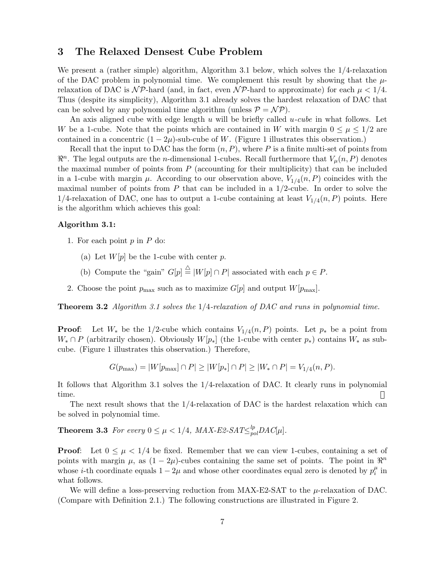# 3 The Relaxed Densest Cube Problem

We present a (rather simple) algorithm, Algorithm 3.1 below, which solves the  $1/4$ -relaxation of the DAC problem in polynomial time. We complement this result by showing that the  $\mu$ relaxation of DAC is  $\mathcal{NP}$ -hard (and, in fact, even  $\mathcal{NP}$ -hard to approximate) for each  $\mu < 1/4$ . Thus (despite its simplicity), Algorithm 3.1 already solves the hardest relaxation of DAC that can be solved by any polynomial time algorithm (unless  $P = \mathcal{NP}$ ).

An axis aligned cube with edge length  $u$  will be briefly called  $u$ -cube in what follows. Let W be a 1-cube. Note that the points which are contained in W with margin  $0 \leq \mu \leq 1/2$  are contained in a concentric  $(1 - 2\mu)$ -sub-cube of W. (Figure 1 illustrates this observation.)

Recall that the input to DAC has the form  $(n, P)$ , where P is a finite multi-set of points from  $\mathbb{R}^n$ . The legal outputs are the *n*-dimensional 1-cubes. Recall furthermore that  $V_\mu(n, P)$  denotes the maximal number of points from  $P$  (accounting for their multiplicity) that can be included in a 1-cube with margin  $\mu$ . According to our observation above,  $V_{1/4}(n, P)$  coincides with the maximal number of points from  $P$  that can be included in a  $1/2$ -cube. In order to solve the 1/4-relaxation of DAC, one has to output a 1-cube containing at least  $V_{1/4}(n, P)$  points. Here is the algorithm which achieves this goal:

### Algorithm 3.1:

- 1. For each point  $p$  in  $P$  do:
	- (a) Let  $W[p]$  be the 1-cube with center p.
	- (b) Compute the "gain"  $G[p] \stackrel{\triangle}{=} |W[p] \cap P|$  associated with each  $p \in P$ .
- 2. Choose the point  $p_{\text{max}}$  such as to maximize  $G[p]$  and output  $W[p_{\text{max}}]$ .

**Theorem 3.2** Algorithm 3.1 solves the  $1/4$ -relaxation of DAC and runs in polynomial time.

**Proof:** Let  $W_*$  be the 1/2-cube which contains  $V_{1/4}(n, P)$  points. Let  $p_*$  be a point from  $W_* \cap P$  (arbitrarily chosen). Obviously  $W[p_*]$  (the 1-cube with center  $p_*$ ) contains  $W_*$  as subcube. (Figure 1 illustrates this observation.) Therefore,

$$
G(p_{\max}) = |W[p_{\max}] \cap P| \ge |W[p_*] \cap P| \ge |W_* \cap P| = V_{1/4}(n, P).
$$

It follows that Algorithm 3.1 solves the 1/4-relaxation of DAC. It clearly runs in polynomial time.

The next result shows that the  $1/4$ -relaxation of DAC is the hardest relaxation which can be solved in polynomial time.

**Theorem 3.3** For every  $0 \leq \mu < 1/4$ ,  $MAX$ -E2-SAT $\leq_{pol}^{lp}$ DAC[ $\mu$ ].

**Proof:** Let  $0 \leq \mu \leq 1/4$  be fixed. Remember that we can view 1-cubes, containing a set of points with margin  $\mu$ , as  $(1 - 2\mu)$ -cubes containing the same set of points. The point in  $\mathbb{R}^n$ whose *i*-th coordinate equals  $1 - 2\mu$  and whose other coordinates equal zero is denoted by  $p_i^{\mu}$  $\frac{\mu}{i}$  in what follows.

We will define a loss-preserving reduction from  $MAX$ -E2-SAT to the  $\mu$ -relaxation of DAC. (Compare with Definition 2.1.) The following constructions are illustrated in Figure 2.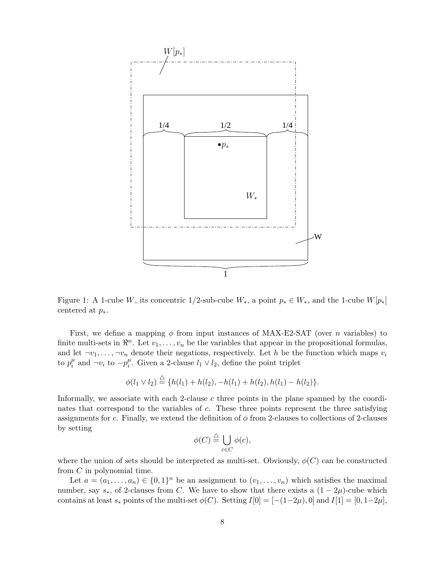

Figure 1: A 1-cube W, its concentric 1/2-sub-cube  $W_*$ , a point  $p_* \in W_*$ , and the 1-cube  $W[p_*]$ centered at  $p_*$ .

First, we define a mapping  $\phi$  from input instances of MAX-E2-SAT (over n variables) to finite multi-sets in  $\mathbb{R}^n$ . Let  $v_1, \ldots, v_n$  be the variables that appear in the propositional formulas, and let  $\neg v_1, \ldots, \neg v_n$  denote their negations, respectively. Let h be the function which maps  $v_i$ to  $p_i^{\mu}$  $\mu$ <sub>i</sub> and ¬v<sub>i</sub> to − $p_i^{\mu}$  $i<sup>\mu</sup>$ . Given a 2-clause  $l_1 \vee l_2$ , define the point triplet

$$
\phi(l_1 \vee l_2) \stackrel{\triangle}{=} \{h(l_1) + h(l_2), -h(l_1) + h(l_2), h(l_1) - h(l_2)\}.
$$

Informally, we associate with each 2-clause  $c$  three points in the plane spanned by the coordinates that correspond to the variables of c. These three points represent the three satisfying assignments for c. Finally, we extend the definition of  $\phi$  from 2-clauses to collections of 2-clauses by setting

$$
\phi(C) \stackrel{\triangle}{=} \bigcup_{c \in C} \phi(c),
$$

where the union of sets should be interpreted as multi-set. Obviously,  $\phi(C)$  can be constructed from C in polynomial time.

Let  $a = (a_1, \ldots, a_n) \in \{0,1\}^n$  be an assignment to  $(v_1, \ldots, v_n)$  which satisfies the maximal number, say  $s_*,$  of 2-clauses from C. We have to show that there exists a  $(1 - 2\mu)$ -cube which contains at least  $s_*$  points of the multi-set  $\phi(C)$ . Setting  $I[0] = [-(1-2\mu), 0]$  and  $I[1] = [0, 1-2\mu]$ ,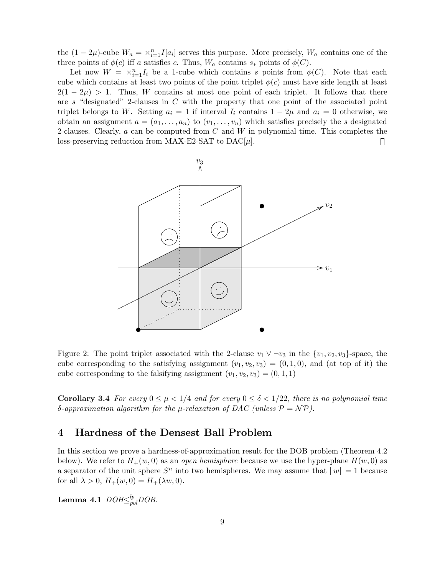the  $(1 - 2\mu)$ -cube  $W_a = \frac{x^n}{i-1} I[a_i]$  serves this purpose. More precisely,  $W_a$  contains one of the three points of  $\phi(c)$  iff a satisfies c. Thus,  $W_a$  contains  $s_*$  points of  $\phi(C)$ .

Let now  $W = \times_{i=1}^n I_i$  be a 1-cube which contains s points from  $\phi(C)$ . Note that each cube which contains at least two points of the point triplet  $\phi(c)$  must have side length at least  $2(1 - 2\mu) > 1$ . Thus, W contains at most one point of each triplet. It follows that there are s "designated" 2-clauses in C with the property that one point of the associated point triplet belongs to W. Setting  $a_i = 1$  if interval  $I_i$  contains  $1 - 2\mu$  and  $a_i = 0$  otherwise, we obtain an assignment  $a = (a_1, \ldots, a_n)$  to  $(v_1, \ldots, v_n)$  which satisfies precisely the s designated 2-clauses. Clearly,  $a$  can be computed from  $C$  and  $W$  in polynomial time. This completes the loss-preserving reduction from MAX-E2-SAT to  $DAC[\mu]$ . Ш



Figure 2: The point triplet associated with the 2-clause  $v_1 \vee \neg v_3$  in the  $\{v_1, v_2, v_3\}$ -space, the cube corresponding to the satisfying assignment  $(v_1, v_2, v_3) = (0, 1, 0)$ , and (at top of it) the cube corresponding to the falsifying assignment  $(v_1, v_2, v_3) = (0, 1, 1)$ 

Corollary 3.4 For every  $0 \le \mu < 1/4$  and for every  $0 \le \delta < 1/22$ , there is no polynomial time δ-approximation algorithm for the μ-relaxation of DAC (unless  $\mathcal{P} = \mathcal{NP}$ ).

### 4 Hardness of the Densest Ball Problem

In this section we prove a hardness-of-approximation result for the DOB problem (Theorem 4.2 below). We refer to  $H_+(w, 0)$  as an *open hemisphere* because we use the hyper-plane  $H(w, 0)$  as a separator of the unit sphere  $S<sup>n</sup>$  into two hemispheres. We may assume that  $||w|| = 1$  because for all  $\lambda > 0$ ,  $H_+(w, 0) = H_+(\lambda w, 0)$ .

 ${\rm \bf Lemma~4.1~ }$   $DOH\!\!\leq_{pol}^{lp}\!\!DOB.$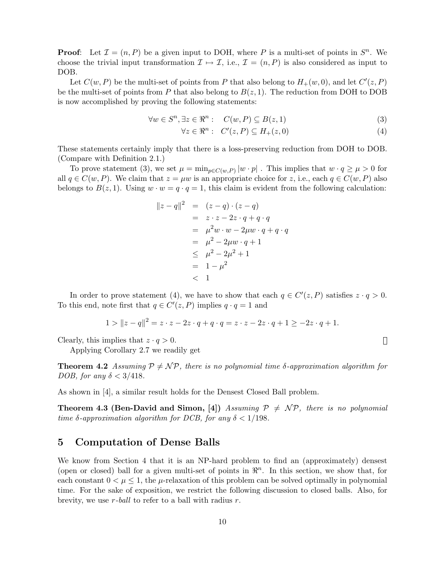**Proof:** Let  $\mathcal{I} = (n, P)$  be a given input to DOH, where P is a multi-set of points in  $S<sup>n</sup>$ . We choose the trivial input transformation  $\mathcal{I} \mapsto \mathcal{I}$ , i.e.,  $\mathcal{I} = (n, P)$  is also considered as input to DOB.

Let  $C(w, P)$  be the multi-set of points from P that also belong to  $H_+(w, 0)$ , and let  $C'(z, P)$ be the multi-set of points from P that also belong to  $B(z, 1)$ . The reduction from DOH to DOB is now accomplished by proving the following statements:

$$
\forall w \in S^n, \exists z \in \mathbb{R}^n : C(w, P) \subseteq B(z, 1)
$$
\n
$$
(3)
$$

$$
\forall z \in \mathbb{R}^n : C'(z, P) \subseteq H_+(z, 0)
$$
\n
$$
(4)
$$

 $\Box$ 

These statements certainly imply that there is a loss-preserving reduction from DOH to DOB. (Compare with Definition 2.1.)

To prove statement (3), we set  $\mu = \min_{p \in C(w,P)} |w \cdot p|$ . This implies that  $w \cdot q \ge \mu > 0$  for all  $q \in C(w, P)$ . We claim that  $z = \mu w$  is an appropriate choice for z, i.e., each  $q \in C(w, P)$  also belongs to  $B(z, 1)$ . Using  $w \cdot w = q \cdot q = 1$ , this claim is evident from the following calculation:

$$
||z - q||2 = (z - q) \cdot (z - q) \n= z \cdot z - 2z \cdot q + q \cdot q \n= \mu2 w \cdot w - 2\mu w \cdot q + q \cdot q \n= \mu2 - 2\mu w \cdot q + 1 \n\leq \mu2 - 2\mu2 + 1 \n= 1 - \mu2 \n $< 1$
$$

In order to prove statement (4), we have to show that each  $q \in C'(z, P)$  satisfies  $z \cdot q > 0$ . To this end, note first that  $q \in C'(z, P)$  implies  $q \cdot q = 1$  and

$$
1 > \|z - q\|^2 = z \cdot z - 2z \cdot q + q \cdot q = z \cdot z - 2z \cdot q + 1 \ge -2z \cdot q + 1.
$$

Clearly, this implies that  $z \cdot q > 0$ .

Applying Corollary 2.7 we readily get

**Theorem 4.2** Assuming  $P \neq \mathcal{NP}$ , there is no polynomial time δ-approximation algorithm for DOB, for any  $\delta < 3/418$ .

As shown in [4], a similar result holds for the Densest Closed Ball problem.

**Theorem 4.3 (Ben-David and Simon, [4])** Assuming  $P \neq \mathcal{NP}$ , there is no polynomial time  $\delta$ -approximation algorithm for DCB, for any  $\delta < 1/198$ .

### 5 Computation of Dense Balls

We know from Section 4 that it is an NP-hard problem to find an (approximately) densest (open or closed) ball for a given multi-set of points in  $\mathbb{R}^n$ . In this section, we show that, for each constant  $0 < \mu \leq 1$ , the  $\mu$ -relaxation of this problem can be solved optimally in polynomial time. For the sake of exposition, we restrict the following discussion to closed balls. Also, for brevity, we use  $r$ -ball to refer to a ball with radius  $r$ .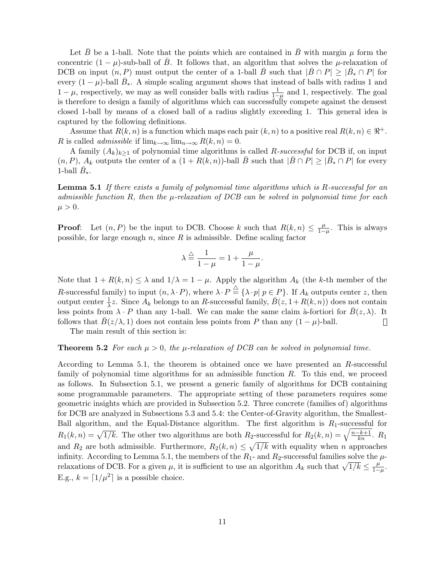Let  $\bar{B}$  be a 1-ball. Note that the points which are contained in  $\bar{B}$  with margin  $\mu$  form the concentric  $(1 - \mu)$ -sub-ball of  $\bar{B}$ . It follows that, an algorithm that solves the  $\mu$ -relaxation of DCB on input  $(n, P)$  must output the center of a 1-ball  $\bar{B}$  such that  $|\bar{B} \cap P| \geq |\bar{B}_* \cap P|$  for every  $(1 - \mu)$ -ball  $\bar{B}_*$ . A simple scaling argument shows that instead of balls with radius 1 and  $1 - \mu$ , respectively, we may as well consider balls with radius  $\frac{1}{1-\mu}$  and 1, respectively. The goal is therefore to design a family of algorithms which can successfully compete against the densest closed 1-ball by means of a closed ball of a radius slightly exceeding 1. This general idea is captured by the following definitions.

Assume that  $R(k, n)$  is a function which maps each pair  $(k, n)$  to a positive real  $R(k, n) \in \mathbb{R}^+$ . R is called *admissible* if  $\lim_{k\to\infty} \lim_{n\to\infty} R(k,n) = 0$ .

A family  $(A_k)_{k\geq 1}$  of polynomial time algorithms is called R-successful for DCB if, on input  $(n, P)$ ,  $A_k$  outputs the center of a  $(1 + R(k, n))$ -ball  $\overline{B}$  such that  $|\overline{B} \cap P| \geq |\overline{B}_* \cap P|$  for every 1-ball  $\bar{B}_*$ .

**Lemma 5.1** If there exists a family of polynomial time algorithms which is  $R$ -successful for an admissible function R, then the  $\mu$ -relaxation of DCB can be solved in polynomial time for each  $\mu > 0$ .

**Proof:** Let  $(n, P)$  be the input to DCB. Choose k such that  $R(k, n) \leq \frac{\mu}{1 - \mu}$  $\frac{\mu}{1-\mu}$ . This is always possible, for large enough  $n$ , since  $R$  is admissible. Define scaling factor

$$
\lambda \stackrel{\triangle}{=} \frac{1}{1-\mu} = 1 + \frac{\mu}{1-\mu}.
$$

Note that  $1 + R(k, n) \leq \lambda$  and  $1/\lambda = 1 - \mu$ . Apply the algorithm  $A_k$  (the k-th member of the R-successful family) to input  $(n, \lambda \cdot P)$ , where  $\lambda \cdot P \stackrel{\triangle}{=} {\lambda \cdot p | p \in P}$ . If  $A_k$  outputs center z, then output center  $\frac{1}{\lambda}z$ . Since  $A_k$  belongs to an R-successful family,  $\overline{B}(z, 1+R(k, n))$  does not contain less points from  $\lambda \cdot P$  than any 1-ball. We can make the same claim à-fortiori for  $\bar{B}(z, \lambda)$ . It follows that  $B(z/\lambda, 1)$  does not contain less points from P than any  $(1 - \mu)$ -ball.  $\Box$ 

The main result of this section is:

### **Theorem 5.2** For each  $\mu > 0$ , the  $\mu$ -relaxation of DCB can be solved in polynomial time.

According to Lemma 5.1, the theorem is obtained once we have presented an R-successful family of polynomial time algorithms for an admissible function R. To this end, we proceed as follows. In Subsection 5.1, we present a generic family of algorithms for DCB containing some programmable parameters. The appropriate setting of these parameters requires some geometric insights which are provided in Subsection 5.2. Three concrete (families of) algorithms for DCB are analyzed in Subsections 5.3 and 5.4: the Center-of-Gravity algorithm, the Smallest-Ball algorithm, and the Equal-Distance algorithm. The first algorithm is  $R_1$ -successful for Ban algorithm, and the Equal-Distance algorithm. The first algorithm is  $R_1$ -successful for  $R_1(k,n) = \sqrt{1/k}$ . The other two algorithms are both  $R_2$ -successful for  $R_2(k,n) = \sqrt{\frac{n-k+1}{kn}}$ .  $R_1$ and  $R_2$  are both admissible. Furthermore,  $R_2(k,n) \leq \sqrt{1/k}$  with equality when n approaches infinity. According to Lemma 5.1, the members of the  $R_1$ - and  $R_2$ -successful families solve the  $\mu$ relaxations of DCB. For a given  $\mu$ , it is sufficient to use an algorithm  $A_k$  such that  $\sqrt{1/k} \leq \frac{\mu}{1-k}$  $\frac{\mu}{1-\mu}$ . E.g.,  $k = \lfloor 1/\mu^2 \rfloor$  is a possible choice.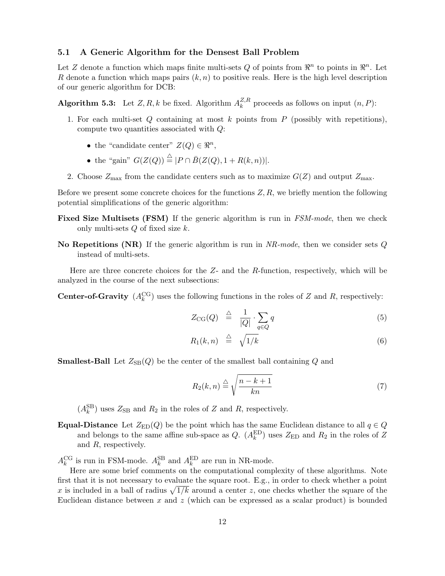### 5.1 A Generic Algorithm for the Densest Ball Problem

Let Z denote a function which maps finite multi-sets Q of points from  $\mathbb{R}^n$  to points in  $\mathbb{R}^n$ . Let R denote a function which maps pairs  $(k, n)$  to positive reals. Here is the high level description of our generic algorithm for DCB:

**Algorithm 5.3:** Let  $Z, R, k$  be fixed. Algorithm  $A_k^{Z,R}$  $k^{Z,R}$  proceeds as follows on input  $(n, P)$ :

- 1. For each multi-set  $Q$  containing at most  $k$  points from  $P$  (possibly with repetitions), compute two quantities associated with Q:
	- the "candidate center"  $Z(Q) \in \mathbb{R}^n$ ,
	- the "gain"  $G(Z(Q)) \stackrel{\triangle}{=} |P \cap \overline{B(Z(Q), 1 + R(k, n))}|$ .
- 2. Choose  $Z_{\text{max}}$  from the candidate centers such as to maximize  $G(Z)$  and output  $Z_{\text{max}}$ .

Before we present some concrete choices for the functions  $Z, R$ , we briefly mention the following potential simplifications of the generic algorithm:

- Fixed Size Multisets (FSM) If the generic algorithm is run in FSM-mode, then we check only multi-sets  $Q$  of fixed size  $k$ .
- No Repetitions (NR) If the generic algorithm is run in  $NR-mode$ , then we consider sets  $Q$ instead of multi-sets.

Here are three concrete choices for the  $Z$ - and the R-function, respectively, which will be analyzed in the course of the next subsections:

**Center-of-Gravity**  $(A_k^{\text{CG}})$  uses the following functions in the roles of Z and R, respectively:

$$
Z_{\text{CG}}(Q) \triangleq \frac{1}{|Q|} \cdot \sum_{q \in Q} q \tag{5}
$$

$$
R_1(k,n) \stackrel{\triangle}{=} \sqrt{1/k} \tag{6}
$$

**Smallest-Ball** Let  $Z_{SB}(Q)$  be the center of the smallest ball containing Q and

$$
R_2(k,n) \stackrel{\triangle}{=} \sqrt{\frac{n-k+1}{kn}}\tag{7}
$$

 $(A_k^{\text{SB}})$  uses  $Z_{\text{SB}}$  and  $R_2$  in the roles of Z and R, respectively.

Equal-Distance Let  $Z_{\text{ED}}(Q)$  be the point which has the same Euclidean distance to all  $q \in Q$ and belongs to the same affine sub-space as  $Q$ .  $(A_k^{ED})$  uses  $Z_{ED}$  and  $R_2$  in the roles of Z and R, respectively.

 $A_k^{\text{CG}}$  is run in FSM-mode.  $A_k^{\text{SB}}$  and  $A_k^{\text{ED}}$  are run in NR-mode.

Here are some brief comments on the computational complexity of these algorithms. Note first that it is not necessary to evaluate the square root. E.g., in order to check whether a point In that it is not necessary to evaluate the square root. E.g., in order to check whether a point x is included in a ball of radius  $\sqrt{1/k}$  around a center z, one checks whether the square of the Euclidean distance between  $x$  and  $z$  (which can be expressed as a scalar product) is bounded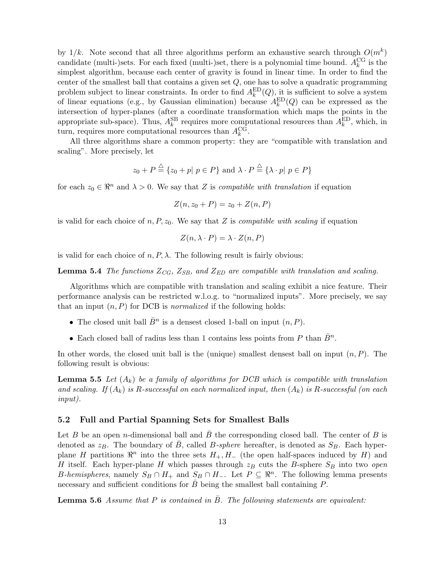by  $1/k$ . Note second that all three algorithms perform an exhaustive search through  $O(m^k)$ candidate (multi-)sets. For each fixed (multi-)set, there is a polynomial time bound.  $A_k^{\text{CG}}$  is the simplest algorithm, because each center of gravity is found in linear time. In order to find the center of the smallest ball that contains a given set  $Q$ , one has to solve a quadratic programming problem subject to linear constraints. In order to find  $A_k^{\text{ED}}(Q)$ , it is sufficient to solve a system of linear equations (e.g., by Gaussian elimination) because  $A_k^{ED}(Q)$  can be expressed as the intersection of hyper-planes (after a coordinate transformation which maps the points in the appropriate sub-space). Thus,  $A_k^{\text{SB}}$  requires more computational resources than  $A_k^{\text{ED}}$ , which, in turn, requires more computational resources than  $A_k^{\text{CG}}$ .

All three algorithms share a common property: they are "compatible with translation and scaling". More precisely, let

$$
z_0 + P \stackrel{\triangle}{=} \{ z_0 + p | p \in P \} \text{ and } \lambda \cdot P \stackrel{\triangle}{=} \{ \lambda \cdot p | p \in P \}
$$

for each  $z_0 \in \mathbb{R}^n$  and  $\lambda > 0$ . We say that Z is *compatible with translation* if equation

$$
Z(n, z_0 + P) = z_0 + Z(n, P)
$$

is valid for each choice of n, P,  $z_0$ . We say that Z is *compatible with scaling* if equation

$$
Z(n, \lambda \cdot P) = \lambda \cdot Z(n, P)
$$

is valid for each choice of  $n, P, \lambda$ . The following result is fairly obvious:

**Lemma 5.4** The functions  $Z_{CG}$ ,  $Z_{SB}$ , and  $Z_{ED}$  are compatible with translation and scaling.

Algorithms which are compatible with translation and scaling exhibit a nice feature. Their performance analysis can be restricted w.l.o.g. to "normalized inputs". More precisely, we say that an input  $(n, P)$  for DCB is *normalized* if the following holds:

- The closed unit ball  $\bar{B}^n$  is a densest closed 1-ball on input  $(n, P)$ .
- Each closed ball of radius less than 1 contains less points from P than  $\bar{B}^n$ .

In other words, the closed unit ball is the (unique) smallest densest ball on input  $(n, P)$ . The following result is obvious:

**Lemma 5.5** Let  $(A_k)$  be a family of algorithms for DCB which is compatible with translation and scaling. If  $(A_k)$  is R-successful on each normalized input, then  $(A_k)$  is R-successful (on each input).

### 5.2 Full and Partial Spanning Sets for Smallest Balls

Let B be an open n-dimensional ball and B the corresponding closed ball. The center of B is denoted as  $z_B$ . The boundary of  $\bar{B}$ , called B-sphere hereafter, is denoted as  $S_B$ . Each hyperplane H partitions  $\mathbb{R}^n$  into the three sets  $H_+, H_-$  (the open half-spaces induced by H) and H itself. Each hyper-plane H which passes through  $z_B$  cuts the B-sphere  $S_B$  into two *open* B-hemispheres, namely  $S_B \cap H_+$  and  $S_B \cap H_-.$  Let  $P \subseteq \mathbb{R}^n$ . The following lemma presents necessary and sufficient conditions for  $B$  being the smallest ball containing  $P$ .

**Lemma 5.6** Assume that P is contained in B. The following statements are equivalent: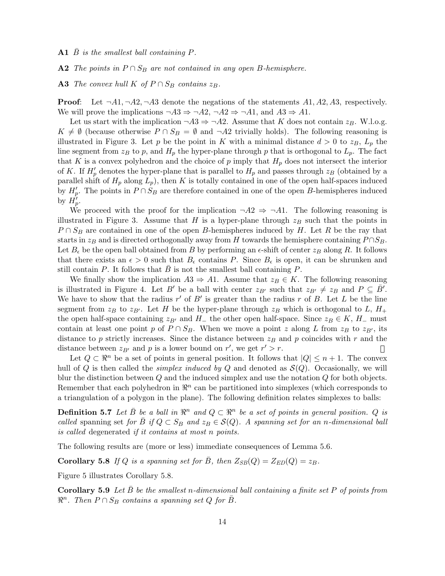A1  $\bar{B}$  is the smallest ball containing P.

A2 The points in  $P \cap S_B$  are not contained in any open B-hemisphere.

A3 The convex hull K of  $P \cap S_B$  contains  $z_B$ .

**Proof:** Let  $\neg A1, \neg A2, \neg A3$  denote the negations of the statements  $A1, A2, A3$ , respectively. We will prove the implications  $\neg A3 \Rightarrow \neg A2$ ,  $\neg A2 \Rightarrow \neg A1$ , and  $A3 \Rightarrow A1$ .

Let us start with the implication  $\neg A3 \Rightarrow \neg A2$ . Assume that K does not contain  $z_B$ . W.l.o.g.  $K \neq \emptyset$  (because otherwise  $P \cap S_B = \emptyset$  and  $\neg A2$  trivially holds). The following reasoning is illustrated in Figure 3. Let p be the point in K with a minimal distance  $d > 0$  to  $z_B$ ,  $L_p$  the line segment from  $z_B$  to p, and  $H_p$  the hyper-plane through p that is orthogonal to  $L_p$ . The fact that K is a convex polyhedron and the choice of p imply that  $H_p$  does not intersect the interior of K. If  $H_p'$  denotes the hyper-plane that is parallel to  $H_p$  and passes through  $z_B$  (obtained by a parallel shift of  $H_p$  along  $L_p$ ), then K is totally contained in one of the open half-spaces induced by  $H'_p$ . The points in  $P \cap S_B$  are therefore contained in one of the open B-hemispheres induced by  $H_p^{\prime}$ .

We proceed with the proof for the implication  $\neg A2 \Rightarrow \neg A1$ . The following reasoning is illustrated in Figure 3. Assume that H is a hyper-plane through  $z_B$  such that the points in  $P \cap S_B$  are contained in one of the open B-hemispheres induced by H. Let R be the ray that starts in  $z_B$  and is directed orthogonally away from H towards the hemisphere containing  $P \cap S_B$ . Let  $B_{\epsilon}$  be the open ball obtained from B by performing an  $\epsilon$ -shift of center  $z_B$  along R. It follows that there exists an  $\epsilon > 0$  such that  $B_{\epsilon}$  contains P. Since  $B_{\epsilon}$  is open, it can be shrunken and still contain  $P$ . It follows that  $B$  is not the smallest ball containing  $P$ .

We finally show the implication  $A3 \Rightarrow A1$ . Assume that  $z_B \in K$ . The following reasoning is illustrated in Figure 4. Let B' be a ball with center  $z_{B'}$  such that  $z_{B'} \neq z_B$  and  $P \subseteq \overline{B'}$ . We have to show that the radius  $r'$  of  $B'$  is greater than the radius r of B. Let L be the line segment from  $z_B$  to  $z_{B'}$ . Let H be the hyper-plane through  $z_B$  which is orthogonal to L,  $H_+$ the open half-space containing  $z_{B'}$  and  $H_-\,$  the other open half-space. Since  $z_B \in K$ ,  $H_-\,$  must contain at least one point p of  $P \cap S_B$ . When we move a point z along L from  $z_B$  to  $z_{B'}$ , its distance to p strictly increases. Since the distance between  $z_B$  and p coincides with r and the distance between  $z_{B'}$  and p is a lower bound on r', we get  $r' > r$ .  $\mathbf{||}$ 

Let  $Q \subset \mathbb{R}^n$  be a set of points in general position. It follows that  $|Q| \leq n+1$ . The convex hull of Q is then called the *simplex induced by Q* and denoted as  $\mathcal{S}(Q)$ . Occasionally, we will blur the distinction between  $Q$  and the induced simplex and use the notation  $Q$  for both objects. Remember that each polyhedron in  $\mathbb{R}^n$  can be partitioned into simplexes (which corresponds to a triangulation of a polygon in the plane). The following definition relates simplexes to balls:

**Definition 5.7** Let  $\bar{B}$  be a ball in  $\mathbb{R}^n$  and  $Q \subset \mathbb{R}^n$  be a set of points in general position. Q is called spanning set for  $\bar{B}$  if  $Q \subset S_B$  and  $z_B \in \mathcal{S}(Q)$ . A spanning set for an n-dimensional ball is called degenerated if it contains at most n points.

The following results are (more or less) immediate consequences of Lemma 5.6.

**Corollary 5.8** If Q is a spanning set for  $\overline{B}$ , then  $Z_{SB}(Q) = Z_{ED}(Q) = z_B$ .

Figure 5 illustrates Corollary 5.8.

**Corollary 5.9** Let B be the smallest n-dimensional ball containing a finite set P of points from  $\mathbb{R}^n$ . Then  $P \cap S_B$  contains a spanning set Q for  $\bar{B}$ .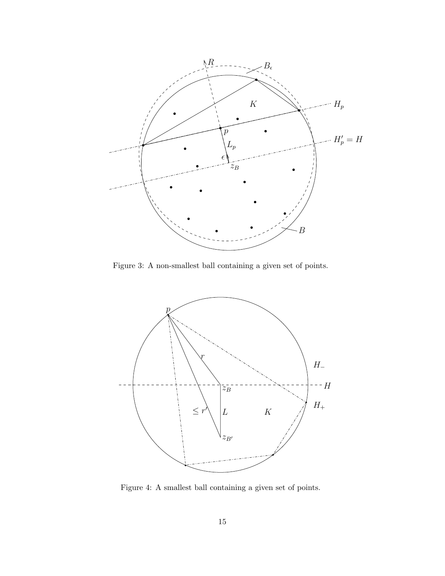

Figure 3: A non-smallest ball containing a given set of points.



Figure 4: A smallest ball containing a given set of points.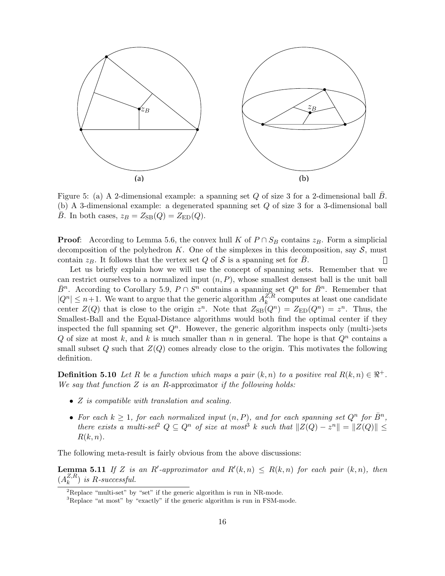

Figure 5: (a) A 2-dimensional example: a spanning set Q of size 3 for a 2-dimensional ball  $\bar{B}$ . (b) A 3-dimensional example: a degenerated spanning set Q of size 3 for a 3-dimensional ball  $\overline{B}$ . In both cases,  $z_B = Z_{\text{SB}}(Q) = Z_{\text{ED}}(Q)$ .

**Proof:** According to Lemma 5.6, the convex hull K of  $P \cap S_B$  contains  $z_B$ . Form a simplicial decomposition of the polyhedron K. One of the simplexes in this decomposition, say  $S$ , must contain  $z_B$ . It follows that the vertex set Q of S is a spanning set for  $\bar{B}$ .  $\Box$ 

Let us briefly explain how we will use the concept of spanning sets. Remember that we can restrict ourselves to a normalized input  $(n, P)$ , whose smallest densest ball is the unit ball  $\bar{B}^n$ . According to Corollary 5.9,  $P \cap S^n$  contains a spanning set  $Q^n$  for  $\bar{B}^n$ . Remember that  $|Q^n| \leq n+1$ . We want to argue that the generic algorithm  $A_k^{Z,R}$  $\frac{Z,R}{k}$  computes at least one candidate center  $Z(Q)$  that is close to the origin  $z^n$ . Note that  $Z_{\text{SB}}(Q^n) = Z_{\text{ED}}(Q^n) = z^n$ . Thus, the Smallest-Ball and the Equal-Distance algorithms would both find the optimal center if they inspected the full spanning set  $Q<sup>n</sup>$ . However, the generic algorithm inspects only (multi-)sets Q of size at most k, and k is much smaller than n in general. The hope is that  $Q<sup>n</sup>$  contains a small subset Q such that  $Z(Q)$  comes already close to the origin. This motivates the following definition.

**Definition 5.10** Let R be a function which maps a pair  $(k, n)$  to a positive real  $R(k, n) \in \mathbb{R}^+$ . We say that function  $Z$  is an R-approximator if the following holds:

- *Z* is compatible with translation and scaling.
- For each  $k \geq 1$ , for each normalized input  $(n, P)$ , and for each spanning set  $Q^n$  for  $\overline{B}^n$ , there exists a multi-set<sup>2</sup>  $Q \subseteq Q^n$  of size at most<sup>3</sup> k such that  $||Z(Q) - z^n|| = ||Z(Q)|| \le$  $R(k, n)$ .

The following meta-result is fairly obvious from the above discussions:

**Lemma 5.11** If Z is an R'-approximator and  $R'(k,n) \le R(k,n)$  for each pair  $(k,n)$ , then  $(A_k^{Z,R})$  $_k^{Z,R}$ ) is R-successful.

 ${}^{2}$ Replace "multi-set" by "set" if the generic algorithm is run in NR-mode.

<sup>&</sup>lt;sup>3</sup>Replace "at most" by "exactly" if the generic algorithm is run in FSM-mode.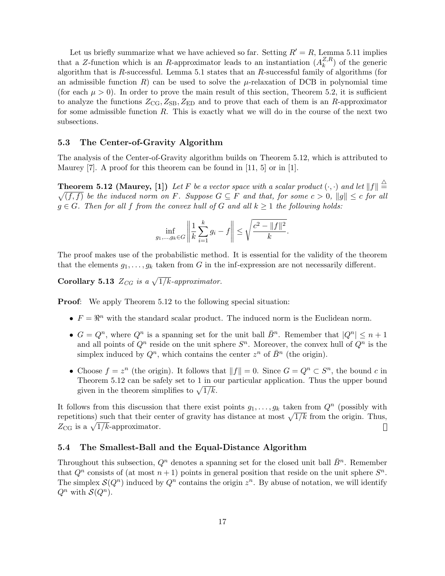Let us briefly summarize what we have achieved so far. Setting  $R' = R$ , Lemma 5.11 implies that a Z-function which is an R-approximator leads to an instantiation  $(A_k^{Z,R})$  $_k^{Z,R}$  of the generic algorithm that is  $R$ -successful. Lemma 5.1 states that an  $R$ -successful family of algorithms (for an admissible function R) can be used to solve the  $\mu$ -relaxation of DCB in polynomial time (for each  $\mu > 0$ ). In order to prove the main result of this section, Theorem 5.2, it is sufficient to analyze the functions  $Z_{\text{CG}}, Z_{\text{SB}}, Z_{\text{ED}}$  and to prove that each of them is an R-approximator for some admissible function  $R$ . This is exactly what we will do in the course of the next two subsections.

### 5.3 The Center-of-Gravity Algorithm

The analysis of the Center-of-Gravity algorithm builds on Theorem 5.12, which is attributed to Maurey [7]. A proof for this theorem can be found in [11, 5] or in [1].

**Theorem 5.12 (Maurey, [1])** Let F be a vector space with a scalar product  $(\cdot, \cdot)$  and let  $||f|| \stackrel{\triangle}{=}$  $\sqrt{(f, f)}$  be the induced norm on F. Suppose  $G \subseteq F$  and that, for some  $c > 0$ ,  $||g|| \leq c$  for all  $g \in G$ . Then for all f from the convex hull of G and all  $k \geq 1$  the following holds:

$$
\inf_{g_1,...,g_k \in G} \left\| \frac{1}{k} \sum_{i=1}^k g_i - f \right\| \le \sqrt{\frac{c^2 - \|f\|^2}{k}}.
$$

The proof makes use of the probabilistic method. It is essential for the validity of the theorem that the elements  $g_1, \ldots, g_k$  taken from G in the inf-expression are not necessarily different.

Corollary 5.13  $Z_{CG}$  is a  $\sqrt{1/k}$ -approximator.

Proof: We apply Theorem 5.12 to the following special situation:

- $F = \mathbb{R}^n$  with the standard scalar product. The induced norm is the Euclidean norm.
- $G = Q^n$ , where  $Q^n$  is a spanning set for the unit ball  $\overline{B}^n$ . Remember that  $|Q^n| \leq n+1$ and all points of  $Q^n$  reside on the unit sphere  $S^n$ . Moreover, the convex hull of  $Q^n$  is the simplex induced by  $Q^n$ , which contains the center  $z^n$  of  $\bar{B}^n$  (the origin).
- Choose  $f = z^n$  (the origin). It follows that  $||f|| = 0$ . Since  $G = Q^n \subset S^n$ , the bound c in Theorem 5.12 can be safely set to 1 in our particular application. Thus the upper bound Theorem 5.12 can be safely set to 1 in 6<br>given in the theorem simplifies to  $\sqrt{1/k}$ .

It follows from this discussion that there exist points  $g_1, \ldots, g_k$  taken from  $Q^n$  (possibly with It follows from this discussion that there exist points  $g_1, \ldots, g_k$  taken from  $Q$  (possibly with repetitions) such that their center of gravity has distance at most  $\sqrt{1/k}$  from the origin. Thus, repetitions) such that their ce<br>  $Z_{\text{CG}}$  is a  $\sqrt{1/k}$ -approximator.  $\Box$ 

### 5.4 The Smallest-Ball and the Equal-Distance Algorithm

Throughout this subsection,  $Q^n$  denotes a spanning set for the closed unit ball  $\bar{B}^n$ . Remember that  $Q^n$  consists of (at most  $n+1$ ) points in general position that reside on the unit sphere  $S^n$ . The simplex  $\mathcal{S}(Q^n)$  induced by  $Q^n$  contains the origin  $z^n$ . By abuse of notation, we will identify  $Q^n$  with  $\mathcal{S}(Q^n)$ .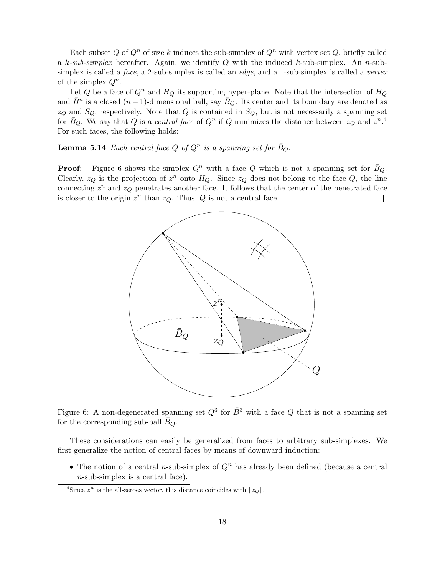Each subset Q of  $Q^n$  of size k induces the sub-simplex of  $Q^n$  with vertex set Q, briefly called a k-sub-simplex hereafter. Again, we identify Q with the induced k-sub-simplex. An n-subsimplex is called a *face*, a 2-sub-simplex is called an *edge*, and a 1-sub-simplex is called a *vertex* of the simplex  $Q^n$ .

Let Q be a face of  $Q^n$  and  $H_Q$  its supporting hyper-plane. Note that the intersection of  $H_Q$ and  $\bar{B}^n$  is a closed  $(n-1)$ -dimensional ball, say  $\bar{B}_Q$ . Its center and its boundary are denoted as  $z_Q$  and  $S_Q$ , respectively. Note that Q is contained in  $S_Q$ , but is not necessarily a spanning set for  $\bar{B}_Q$ . We say that Q is a central face of  $Q^n$  if Q minimizes the distance between  $z_Q$  and  $z^n$ .<sup>4</sup> For such faces, the following holds:

**Lemma 5.14** Each central face Q of  $Q^n$  is a spanning set for  $\bar{B}_Q$ .

**Proof:** Figure 6 shows the simplex  $Q^n$  with a face Q which is not a spanning set for  $\bar{B}_Q$ . Clearly,  $z_Q$  is the projection of  $z^n$  onto  $H_Q$ . Since  $z_Q$  does not belong to the face Q, the line connecting  $z^n$  and  $z_Q$  penetrates another face. It follows that the center of the penetrated face is closer to the origin  $z^n$  than  $z_Q$ . Thus, Q is not a central face.  $\Box$ 



Figure 6: A non-degenerated spanning set  $Q^3$  for  $\bar{B}^3$  with a face Q that is not a spanning set for the corresponding sub-ball  $B_Q$ .

These considerations can easily be generalized from faces to arbitrary sub-simplexes. We first generalize the notion of central faces by means of downward induction:

• The notion of a central *n*-sub-simplex of  $Q<sup>n</sup>$  has already been defined (because a central n-sub-simplex is a central face).

<sup>&</sup>lt;sup>4</sup>Since  $z^n$  is the all-zeroes vector, this distance coincides with  $||z_Q||$ .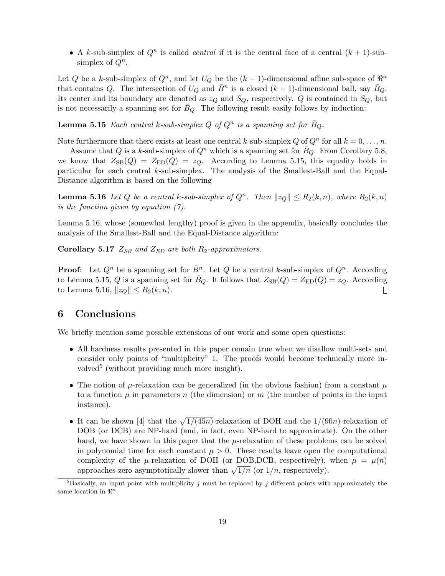• A k-sub-simplex of  $Q^n$  is called *central* if it is the central face of a central  $(k + 1)$ -subsimplex of  $Q^n$ .

Let Q be a k-sub-simplex of  $Q^n$ , and let  $U_Q$  be the  $(k-1)$ -dimensional affine sub-space of  $\mathbb{R}^n$ that contains Q. The intersection of  $U_Q$  and  $\overline{B}{}^n$  is a closed  $(k-1)$ -dimensional ball, say  $\overline{B}_Q$ . Its center and its boundary are denoted as  $z_Q$  and  $S_Q$ , respectively. Q is contained in  $S_Q$ , but is not necessarily a spanning set for  $\bar{B}_Q$ . The following result easily follows by induction:

**Lemma 5.15** Each central k-sub-simplex Q of  $Q^n$  is a spanning set for  $\bar{B}_Q$ .

Note furthermore that there exists at least one central k-sub-simplex Q of  $Q^n$  for all  $k = 0, \ldots, n$ .

Assume that Q is a k-sub-simplex of  $Q^n$  which is a spanning set for  $B_Q$ . From Corollary 5.8, we know that  $Z_{\text{SB}}(Q) = Z_{\text{ED}}(Q) = z_Q$ . According to Lemma 5.15, this equality holds in particular for each central k-sub-simplex. The analysis of the Smallest-Ball and the Equal-Distance algorithm is based on the following

**Lemma 5.16** Let Q be a central k-sub-simplex of  $Q^n$ . Then  $||z_Q|| \le R_2(k,n)$ , where  $R_2(k,n)$ is the function given by equation (7).

Lemma 5.16, whose (somewhat lengthy) proof is given in the appendix, basically concludes the analysis of the Smallest-Ball and the Equal-Distance algorithm:

Corollary 5.17  $Z_{SB}$  and  $Z_{ED}$  are both  $R_2$ -approximators.

**Proof:** Let  $Q^n$  be a spanning set for  $\bar{B}^n$ . Let Q be a central k-sub-simplex of  $Q^n$ . According to Lemma 5.15, Q is a spanning set for  $\bar{B}_Q$ . It follows that  $Z_{\text{SB}}(Q) = Z_{\text{ED}}(Q) = z_Q$ . According to Lemma 5.16,  $||z_Q|| \leq R_2(k, n)$ .  $\Box$ 

### 6 Conclusions

We briefly mention some possible extensions of our work and some open questions:

- All hardness results presented in this paper remain true when we disallow multi-sets and consider only points of "multiplicity" 1. The proofs would become technically more involved<sup>5</sup> (without providing much more insight).
- The notion of  $\mu$ -relaxation can be generalized (in the obvious fashion) from a constant  $\mu$ to a function  $\mu$  in parameters n (the dimension) or m (the number of points in the input instance).
- It can be shown [4] that the  $\sqrt{1/(45n)}$ -relaxation of DOH and the 1/(90n)-relaxation of DOB (or DCB) are NP-hard (and, in fact, even NP-hard to approximate). On the other hand, we have shown in this paper that the  $\mu$ -relaxation of these problems can be solved in polynomial time for each constant  $\mu > 0$ . These results leave open the computational complexity of the  $\mu$ -relaxation of DOH (or DOB, DCB, respectively), when  $\mu = \mu(n)$ complexity of the  $\mu$ -relaxation of DOH (or DOB, DOB, respectively), approaches zero asymptotically slower than  $\sqrt{1/n}$  (or  $1/n$ , respectively).

<sup>&</sup>lt;sup>5</sup>Basically, an input point with multiplicity j must be replaced by j different points with approximately the same location in  $\mathbb{R}^n$ .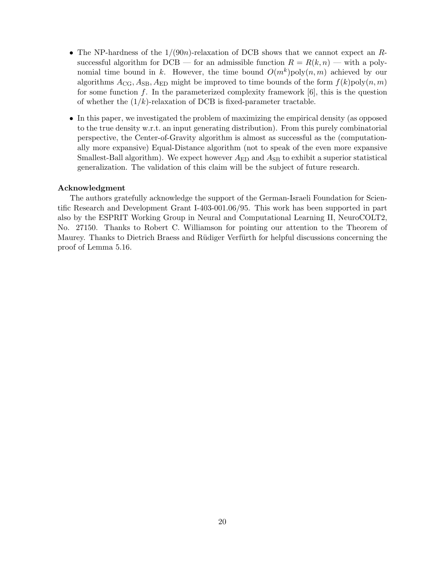- The NP-hardness of the  $1/(90n)$ -relaxation of DCB shows that we cannot expect an Rsuccessful algorithm for DCB — for an admissible function  $R = R(k, n)$  — with a polynomial time bound in k. However, the time bound  $O(m^k)$  poly $(n, m)$  achieved by our algorithms  $A_{CG}$ ,  $A_{SB}$ ,  $A_{ED}$  might be improved to time bounds of the form  $f(k)$ poly $(n, m)$ for some function f. In the parameterized complexity framework  $[6]$ , this is the question of whether the  $(1/k)$ -relaxation of DCB is fixed-parameter tractable.
- In this paper, we investigated the problem of maximizing the empirical density (as opposed to the true density w.r.t. an input generating distribution). From this purely combinatorial perspective, the Center-of-Gravity algorithm is almost as successful as the (computationally more expansive) Equal-Distance algorithm (not to speak of the even more expansive Smallest-Ball algorithm). We expect however  $A_{\text{ED}}$  and  $A_{\text{SB}}$  to exhibit a superior statistical generalization. The validation of this claim will be the subject of future research.

### Acknowledgment

The authors gratefully acknowledge the support of the German-Israeli Foundation for Scientific Research and Development Grant I-403-001.06/95. This work has been supported in part also by the ESPRIT Working Group in Neural and Computational Learning II, NeuroCOLT2, No. 27150. Thanks to Robert C. Williamson for pointing our attention to the Theorem of Maurey. Thanks to Dietrich Braess and Rüdiger Verfürth for helpful discussions concerning the proof of Lemma 5.16.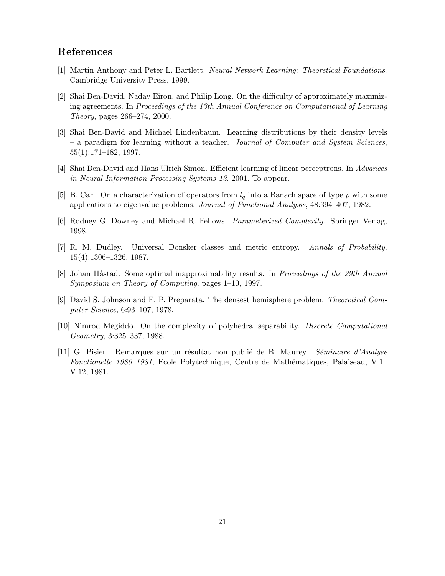# References

- [1] Martin Anthony and Peter L. Bartlett. Neural Network Learning: Theoretical Foundations. Cambridge University Press, 1999.
- [2] Shai Ben-David, Nadav Eiron, and Philip Long. On the difficulty of approximately maximizing agreements. In Proceedings of the 13th Annual Conference on Computational of Learning Theory, pages 266–274, 2000.
- [3] Shai Ben-David and Michael Lindenbaum. Learning distributions by their density levels – a paradigm for learning without a teacher. Journal of Computer and System Sciences, 55(1):171–182, 1997.
- [4] Shai Ben-David and Hans Ulrich Simon. Efficient learning of linear perceptrons. In Advances in Neural Information Processing Systems 13, 2001. To appear.
- [5] B. Carl. On a characterization of operators from  $l_q$  into a Banach space of type p with some applications to eigenvalue problems. Journal of Functional Analysis, 48:394–407, 1982.
- [6] Rodney G. Downey and Michael R. Fellows. Parameterized Complexity. Springer Verlag, 1998.
- [7] R. M. Dudley. Universal Donsker classes and metric entropy. Annals of Probability, 15(4):1306–1326, 1987.
- [8] Johan Håstad. Some optimal inapproximability results. In *Proceedings of the 29th Annual* Symposium on Theory of Computing, pages 1–10, 1997.
- [9] David S. Johnson and F. P. Preparata. The densest hemisphere problem. Theoretical Computer Science, 6:93–107, 1978.
- [10] Nimrod Megiddo. On the complexity of polyhedral separability. Discrete Computational Geometry, 3:325–337, 1988.
- [11] G. Pisier. Remarques sur un résultat non publié de B. Maurey. Séminaire d'Analyse Fonctionelle 1980–1981, Ecole Polytechnique, Centre de Mathématiques, Palaiseau, V.1– V.12, 1981.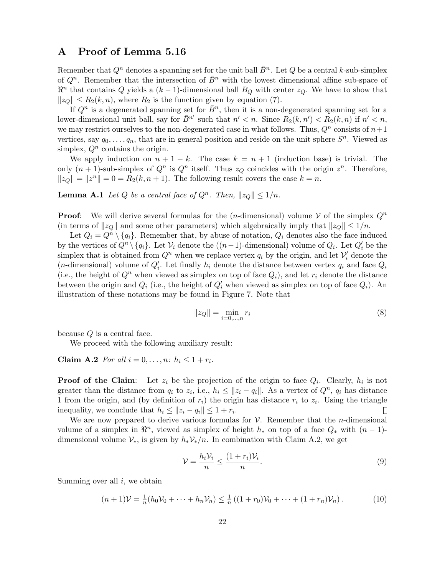# A Proof of Lemma 5.16

Remember that  $Q^n$  denotes a spanning set for the unit ball  $\bar{B}^n$ . Let  $Q$  be a central k-sub-simplex of  $Q^n$ . Remember that the intersection of  $\bar{B}^n$  with the lowest dimensional affine sub-space of  $\mathbb{R}^n$  that contains Q yields a  $(k-1)$ -dimensional ball  $B_Q$  with center  $z_Q$ . We have to show that  $||z_Q|| \leq R_2(k, n)$ , where  $R_2$  is the function given by equation (7).

If  $Q^n$  is a degenerated spanning set for  $\bar{B}^n$ , then it is a non-degenerated spanning set for a lower-dimensional unit ball, say for  $\overline{B}^{n'}$  such that  $n' < n$ . Since  $R_2(k, n') < R_2(k, n)$  if  $n' < n$ , we may restrict ourselves to the non-degenerated case in what follows. Thus,  $Q<sup>n</sup>$  consists of  $n+1$ vertices, say  $q_0, \ldots, q_n$ , that are in general position and reside on the unit sphere  $S^n$ . Viewed as simplex,  $Q^n$  contains the origin.

We apply induction on  $n + 1 - k$ . The case  $k = n + 1$  (induction base) is trivial. The only  $(n + 1)$ -sub-simplex of  $Q^n$  is  $Q^n$  itself. Thus  $z_Q$  coincides with the origin  $z^n$ . Therefore,  $||z_Q|| = ||z^n|| = 0 = R_2(k, n + 1)$ . The following result covers the case  $k = n$ .

**Lemma A.1** Let Q be a central face of  $Q^n$ . Then,  $||z_Q|| \leq 1/n$ .

**Proof:** We will derive several formulas for the  $(n$ -dimensional) volume V of the simplex  $Q^n$ (in terms of  $||z_0||$  and some other parameters) which algebraically imply that  $||z_0|| \leq 1/n$ .

Let  $Q_i = Q^n \setminus \{q_i\}$ . Remember that, by abuse of notation,  $Q_i$  denotes also the face induced by the vertices of  $Q^n \setminus \{q_i\}$ . Let  $\mathcal{V}_i$  denote the  $((n-1)$ -dimensional) volume of  $Q_i$ . Let  $Q'_i$  be the simplex that is obtained from  $Q^n$  when we replace vertex  $q_i$  by the origin, and let  $\mathcal{V}'_i$  denote the (*n*-dimensional) volume of  $Q_i'$ . Let finally  $h_i$  denote the distance between vertex  $q_i$  and face  $Q_i$ (i.e., the height of  $Q^n$  when viewed as simplex on top of face  $Q_i$ ), and let  $r_i$  denote the distance between the origin and  $Q_i$  (i.e., the height of  $Q'_i$  when viewed as simplex on top of face  $Q_i$ ). An illustration of these notations may be found in Figure 7. Note that

$$
||z_Q|| = \min_{i=0,\dots,n} r_i
$$
 (8)

because Q is a central face.

We proceed with the following auxiliary result:

Claim A.2 For all  $i = 0, \ldots, n$ :  $h_i \leq 1 + r_i$ .

**Proof of the Claim**: Let  $z_i$  be the projection of the origin to face  $Q_i$ . Clearly,  $h_i$  is not greater than the distance from  $q_i$  to  $z_i$ , i.e.,  $h_i \leq ||z_i - q_i||$ . As a vertex of  $Q^n$ ,  $q_i$  has distance 1 from the origin, and (by definition of  $r_i$ ) the origin has distance  $r_i$  to  $z_i$ . Using the triangle inequality, we conclude that  $h_i \leq ||z_i - q_i|| \leq 1 + r_i$ .

We are now prepared to derive various formulas for  $V$ . Remember that the *n*-dimensional volume of a simplex in  $\mathbb{R}^n$ , viewed as simplex of height  $h_*$  on top of a face  $Q_*$  with  $(n-1)$ dimensional volume  $\mathcal{V}_{*}$ , is given by  $h_{*}\mathcal{V}_{*}/n$ . In combination with Claim A.2, we get

$$
\mathcal{V} = \frac{h_i \mathcal{V}_i}{n} \le \frac{(1 + r_i)\mathcal{V}_i}{n}.\tag{9}
$$

Summing over all  $i$ , we obtain

$$
(n+1)\mathcal{V} = \frac{1}{n}(h_0\mathcal{V}_0 + \dots + h_n\mathcal{V}_n) \le \frac{1}{n}((1+r_0)\mathcal{V}_0 + \dots + (1+r_n)\mathcal{V}_n).
$$
 (10)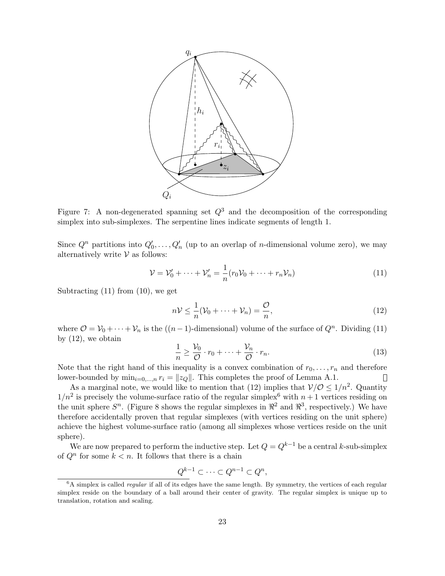

Figure 7: A non-degenerated spanning set  $Q^3$  and the decomposition of the corresponding simplex into sub-simplexes. The serpentine lines indicate segments of length 1.

Since  $Q^n$  partitions into  $Q'_0, \ldots, Q'_n$  (up to an overlap of *n*-dimensional volume zero), we may alternatively write  $V$  as follows:

$$
\mathcal{V} = \mathcal{V}_0' + \dots + \mathcal{V}_n' = \frac{1}{n} (r_0 \mathcal{V}_0 + \dots + r_n \mathcal{V}_n)
$$
\n(11)

Subtracting (11) from (10), we get

$$
n\mathcal{V} \leq \frac{1}{n}(\mathcal{V}_0 + \dots + \mathcal{V}_n) = \frac{\mathcal{O}}{n},\tag{12}
$$

where  $\mathcal{O} = \mathcal{V}_0 + \cdots + \mathcal{V}_n$  is the  $((n-1)$ -dimensional) volume of the surface of  $Q^n$ . Dividing (11) by  $(12)$ , we obtain

$$
\frac{1}{n} \ge \frac{\mathcal{V}_0}{\mathcal{O}} \cdot r_0 + \dots + \frac{\mathcal{V}_n}{\mathcal{O}} \cdot r_n. \tag{13}
$$

Note that the right hand of this inequality is a convex combination of  $r_0, \ldots, r_n$  and therefore lower-bounded by  $\min_{i=0,\dots,n} r_i = ||z_Q||$ . This completes the proof of Lemma A.1.  $\Box$ 

As a marginal note, we would like to mention that (12) implies that  $\mathcal{V}/\mathcal{O} \leq 1/n^2$ . Quantity  $1/n^2$  is precisely the volume-surface ratio of the regular simplex<sup>6</sup> with  $n+1$  vertices residing on the unit sphere  $S^n$ . (Figure 8 shows the regular simplexes in  $\mathbb{R}^2$  and  $\mathbb{R}^3$ , respectively.) We have therefore accidentally proven that regular simplexes (with vertices residing on the unit sphere) achieve the highest volume-surface ratio (among all simplexes whose vertices reside on the unit sphere).

We are now prepared to perform the inductive step. Let  $Q = Q^{k-1}$  be a central k-sub-simplex of  $Q^n$  for some  $k < n$ . It follows that there is a chain

$$
\underline{Q^{k-1}} \subset \cdots \subset Q^{n-1} \subset Q^n,
$$

 $6A$  simplex is called *regular* if all of its edges have the same length. By symmetry, the vertices of each regular simplex reside on the boundary of a ball around their center of gravity. The regular simplex is unique up to translation, rotation and scaling.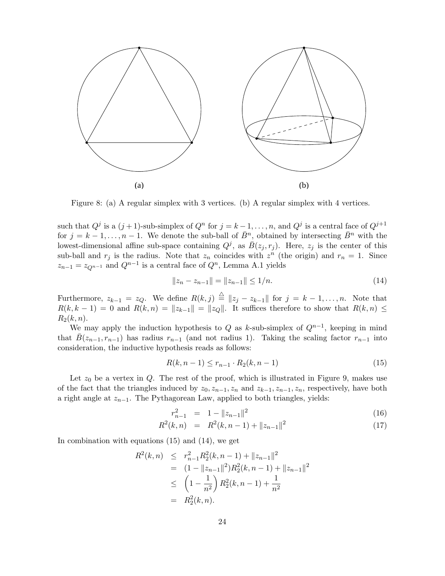

Figure 8: (a) A regular simplex with 3 vertices. (b) A regular simplex with 4 vertices.

such that  $Q^j$  is a  $(j+1)$ -sub-simplex of  $Q^n$  for  $j = k-1, \ldots, n$ , and  $Q^j$  is a central face of  $Q^{j+1}$ for  $j = k - 1, \ldots, n - 1$ . We denote the sub-ball of  $\bar{B}^n$ , obtained by intersecting  $\bar{B}^n$  with the lowest-dimensional affine sub-space containing  $Q^j$ , as  $\overline{B}(z_j, r_j)$ . Here,  $z_j$  is the center of this sub-ball and  $r_j$  is the radius. Note that  $z_n$  coincides with  $z^n$  (the origin) and  $r_n = 1$ . Since  $z_{n-1} = z_{Q^{n-1}}$  and  $Q^{n-1}$  is a central face of  $Q^n$ , Lemma A.1 yields

$$
||z_n - z_{n-1}|| = ||z_{n-1}|| \le 1/n. \tag{14}
$$

Furthermore,  $z_{k-1} = z_Q$ . We define  $R(k, j) \stackrel{\triangle}{=} ||z_j - z_{k-1}||$  for  $j = k - 1, ..., n$ . Note that  $R(k, k-1) = 0$  and  $R(k, n) = ||z_{k-1}|| = ||z_{Q}||$ . It suffices therefore to show that  $R(k, n) \le$  $R_2(k, n)$ .

We may apply the induction hypothesis to Q as k-sub-simplex of  $Q^{n-1}$ , keeping in mind that  $\bar{B}(z_{n-1}, r_{n-1})$  has radius  $r_{n-1}$  (and not radius 1). Taking the scaling factor  $r_{n-1}$  into consideration, the inductive hypothesis reads as follows:

$$
R(k, n-1) \le r_{n-1} \cdot R_2(k, n-1) \tag{15}
$$

Let  $z_0$  be a vertex in Q. The rest of the proof, which is illustrated in Figure 9, makes use of the fact that the triangles induced by  $z_0, z_{n-1}, z_n$  and  $z_{k-1}, z_{n-1}, z_n$ , respectively, have both a right angle at  $z_{n-1}$ . The Pythagorean Law, applied to both triangles, yields:

$$
r_{n-1}^2 = 1 - \|z_{n-1}\|^2 \tag{16}
$$

$$
R^{2}(k,n) = R^{2}(k,n-1) + ||z_{n-1}||^{2}
$$
\n(17)

In combination with equations (15) and (14), we get

$$
R^{2}(k, n) \leq r_{n-1}^{2} R_{2}^{2}(k, n-1) + ||z_{n-1}||^{2}
$$
  
=  $(1 - ||z_{n-1}||^{2}) R_{2}^{2}(k, n-1) + ||z_{n-1}||^{2}$   
 $\leq \left(1 - \frac{1}{n^{2}}\right) R_{2}^{2}(k, n-1) + \frac{1}{n^{2}}$   
=  $R_{2}^{2}(k, n).$